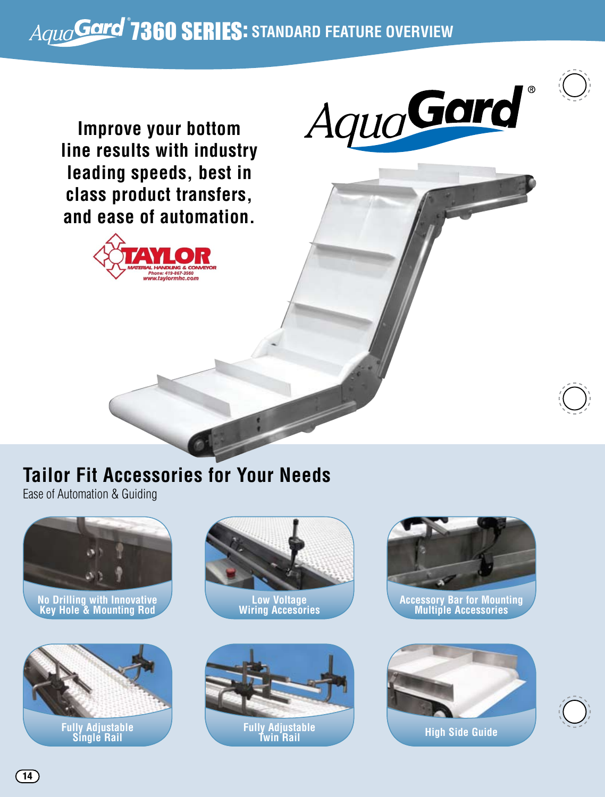## 7360 Series: **STANDARD FEATURE OVERVIEW**



**Improve your bottom line results with industry leading speeds, best in class product transfers, and ease of automation.**





## **Tailor Fit Accessories for Your Needs**

Ease of Automation & Guiding



**No Drilling with Innovative Key Hole & Mounting Rod**



**Fully Adjustable Single Rail**







**Accessory Bar for Mounting Multiple Accessories**



 $(14)$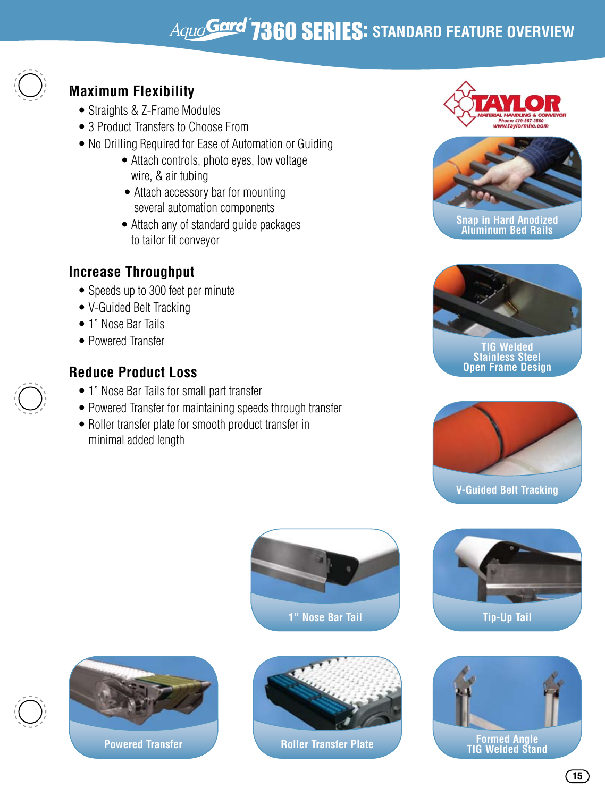## 7360 SERIES: **STANDARD FEATURE OVERVIEW**



### **Maximum Flexibility**

- Straights & Z-Frame Modules
- 3 Product Transfers to Choose From
- No Drilling Required for Ease of Automation or Guiding
	- Attach controls, photo eyes, low voltage wire, & air tubing
	- Attach accessory bar for mounting several automation components
	- Attach any of standard quide packages to tailor fit conveyor

### **Increase Throughput**

- Speeds up to 300 feet per minute
- V-Guided Belt Tracking
- 1" Nose Bar Tails
- Powered Transfer

### **Reduce Product Loss**

- 1" Nose Bar Tails for small part transfer
- Powered Transfer for maintaining speeds through transfer
- Roller transfer plate for smooth product transfer in minimal added length





**Snap in Hard Anodized Aluminum Bed Rails**



**Stainless Steel Open Frame Design**







**Powered Transfer**



**Roller Transfer Plate**



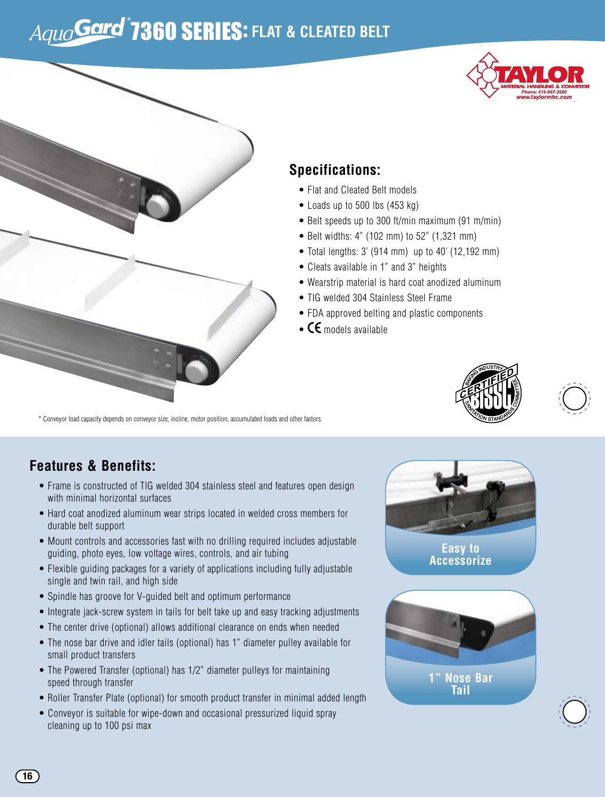# $A$ <sub>*Quo*</sub> Gard<sup>®</sup> 7360 SERIES: FLAT & CLEATED BELT





### **Specifications:**

- Flat and Cleated Belt models
- Loads up to 500 lbs (453 kg)
- Belt speeds up to 300 ft/min maximum (91 m/min)
- Belt widths: 4" (102 mm) to 52" (1,321 mm)
- Total lengths: 3' (914 mm) up to 40' (12,192 mm)
- Cleats available in 1" and 3" heights
- Wearstrip material is hard coat anodized aluminum
- TIG welded 304 Stainless Steel Frame
- FDA approved belting and plastic components
- $\bullet$  CE models available

\* Conveyor load capacity depends on conveyor size, incline, motor position, accumulated loads and other factors.

### **Features & Benefits:**

- Frame is constructed of TIG welded 304 stainless steel and features open design with minimal horizontal surfaces
- Hard coat anodized aluminum wear strips located in welded cross members for durable belt support
- Mount controls and accessories fast with no drilling required includes adjustable guiding, photo eyes, low voltage wires, controls, and air tubing
- Flexible guiding packages for a variety of applications including fully adjustable single and twin rail, and high side
- Spindle has groove for V-guided belt and optimum performance
- Integrate jack-screw system in tails for belt take up and easy tracking adjustments
- The center drive (optional) allows additional clearance on ends when needed
- The nose bar drive and idler tails (optional) has 1" diameter pulley available for small product transfers
- The Powered Transfer (optional) has 1/2" diameter pulleys for maintaining speed through transfer
- Roller Transfer Plate (optional) for smooth product transfer in minimal added length
- Conveyor is suitable for wipe-down and occasional pressurized liquid spray cleaning up to 100 psi max



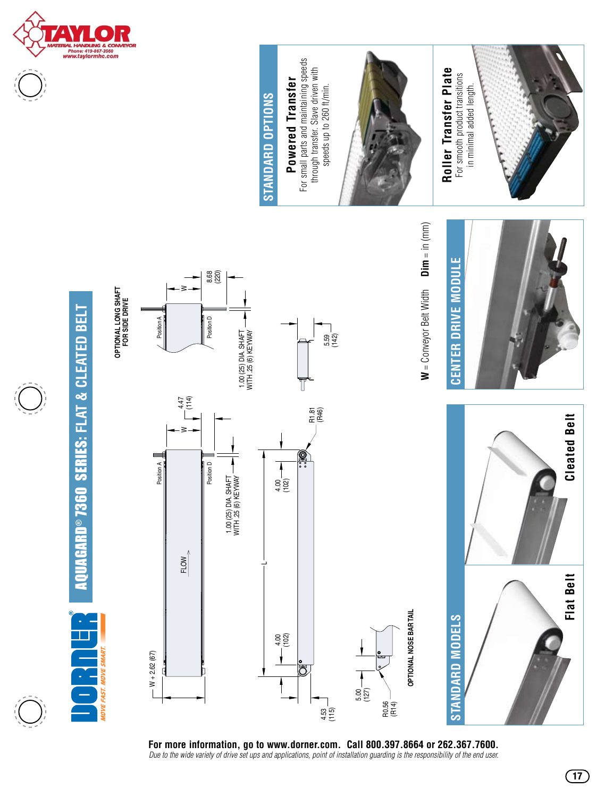







**17**

**OPTIONAL NOSE BAR TAIL**



**For more information, go to www.dorner.com. Call 800.397.8664 or 262.367.7600.**

**AQUAGARD®7360 SERIES: FLAT & CLEATED BELT** AquaGard® 7360 Series: **Flat & Cleated Belt**

**OPTIONAL LONG SHAFT FOR SIDE DRIVE**

**OPTIONAL LONG SHAFT**<br>FOR SIDE DRIVE

W

8.68 (220)

**Standard Options**

STANDARD OPTIONS

**Powered Transfer** For small parts and maintaining speeds

Powered Transfer

For small parts and maintaining speeds



**MOVE FAST. MOVE SMA**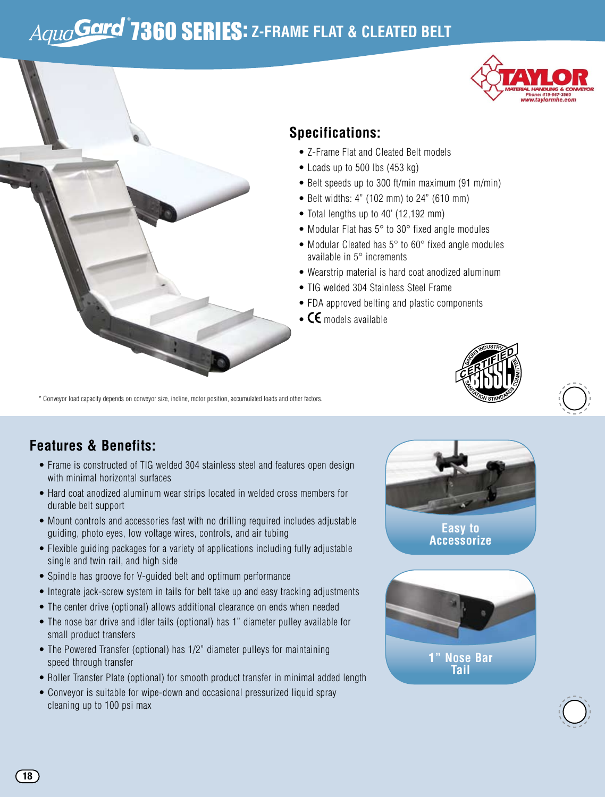## Aqua**Gard<sup>®</sup>7360 SERIES:** Z-FRAME FLAT & CLEATED BELT



#### **Specifications:**

- Z-Frame Flat and Cleated Belt models
- Loads up to 500 lbs (453 kg)
- Belt speeds up to 300 ft/min maximum (91 m/min)
- Belt widths: 4" (102 mm) to 24" (610 mm)
- Total lengths up to 40' (12,192 mm)
- Modular Flat has 5° to 30° fixed angle modules
- Modular Cleated has 5° to 60° fixed angle modules available in 5° increments
- Wearstrip material is hard coat anodized aluminum
- TIG welded 304 Stainless Steel Frame
- FDA approved belting and plastic components
- $\bullet$  CE models available





### **Features & Benefits:**

- Frame is constructed of TIG welded 304 stainless steel and features open design with minimal horizontal surfaces
- Hard coat anodized aluminum wear strips located in welded cross members for durable belt support
- Mount controls and accessories fast with no drilling required includes adjustable guiding, photo eyes, low voltage wires, controls, and air tubing
- Flexible guiding packages for a variety of applications including fully adjustable single and twin rail, and high side
- Spindle has groove for V-guided belt and optimum performance
- Integrate jack-screw system in tails for belt take up and easy tracking adjustments
- The center drive (optional) allows additional clearance on ends when needed
- The nose bar drive and idler tails (optional) has 1" diameter pulley available for small product transfers
- The Powered Transfer (optional) has 1/2" diameter pulleys for maintaining speed through transfer
- Roller Transfer Plate (optional) for smooth product transfer in minimal added length
- Conveyor is suitable for wipe-down and occasional pressurized liquid spray cleaning up to 100 psi max